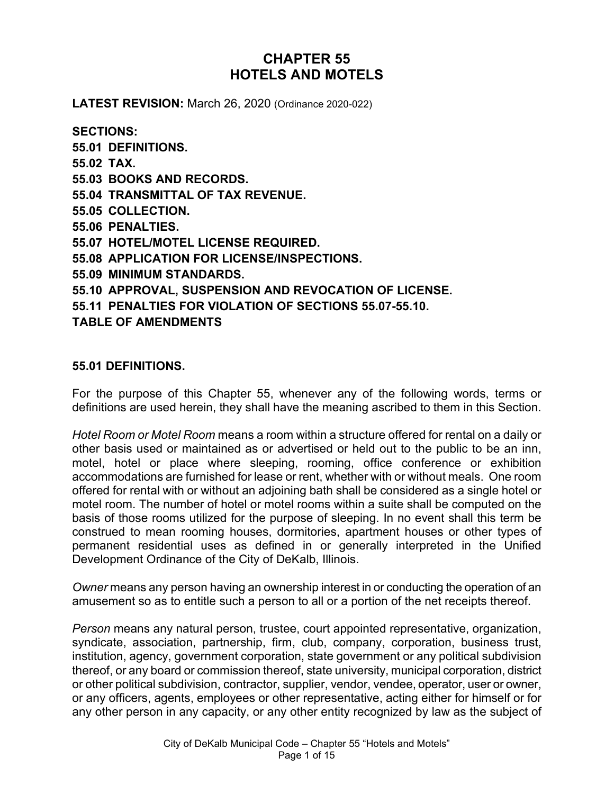# **CHAPTER 55 HOTELS AND MOTELS**

**LATEST REVISION:** March 26, 2020 (Ordinance 2020-022)

**SECTIONS: 55.01 DEFINITIONS. 55.02 TAX. 55.03 BOOKS AND RECORDS. 55.04 TRANSMITTAL OF TAX REVENUE. 55.05 COLLECTION. 55.06 PENALTIES. 55.07 HOTEL/MOTEL LICENSE REQUIRED. 55.08 APPLICATION FOR LICENSE/INSPECTIONS. 55.09 MINIMUM STANDARDS. 55.10 APPROVAL, SUSPENSION AND REVOCATION OF LICENSE. 55.11 PENALTIES FOR VIOLATION OF SECTIONS 55.07-55.10. TABLE OF AMENDMENTS**

#### **55.01 DEFINITIONS.**

For the purpose of this Chapter 55, whenever any of the following words, terms or definitions are used herein, they shall have the meaning ascribed to them in this Section.

*Hotel Room or Motel Room* means a room within a structure offered for rental on a daily or other basis used or maintained as or advertised or held out to the public to be an inn, motel, hotel or place where sleeping, rooming, office conference or exhibition accommodations are furnished for lease or rent, whether with or without meals. One room offered for rental with or without an adjoining bath shall be considered as a single hotel or motel room. The number of hotel or motel rooms within a suite shall be computed on the basis of those rooms utilized for the purpose of sleeping. In no event shall this term be construed to mean rooming houses, dormitories, apartment houses or other types of permanent residential uses as defined in or generally interpreted in the Unified Development Ordinance of the City of DeKalb, Illinois.

*Owner* means any person having an ownership interest in or conducting the operation of an amusement so as to entitle such a person to all or a portion of the net receipts thereof.

*Person* means any natural person, trustee, court appointed representative, organization, syndicate, association, partnership, firm, club, company, corporation, business trust, institution, agency, government corporation, state government or any political subdivision thereof, or any board or commission thereof, state university, municipal corporation, district or other political subdivision, contractor, supplier, vendor, vendee, operator, user or owner, or any officers, agents, employees or other representative, acting either for himself or for any other person in any capacity, or any other entity recognized by law as the subject of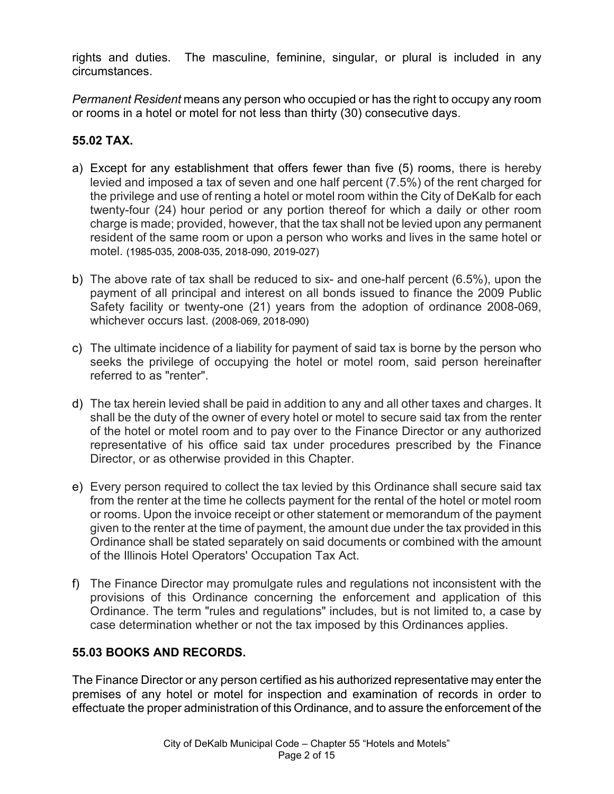rights and duties. The masculine, feminine, singular, or plural is included in any circumstances.

*Permanent Resident* means any person who occupied or has the right to occupy any room or rooms in a hotel or motel for not less than thirty (30) consecutive days.

# **55.02 TAX.**

- a) Except for any establishment that offers fewer than five (5) rooms, there is hereby levied and imposed a tax of seven and one half percent (7.5%) of the rent charged for the privilege and use of renting a hotel or motel room within the City of DeKalb for each twenty-four (24) hour period or any portion thereof for which a daily or other room charge is made; provided, however, that the tax shall not be levied upon any permanent resident of the same room or upon a person who works and lives in the same hotel or motel. (1985-035, 2008-035, 2018-090, 2019-027)
- b) The above rate of tax shall be reduced to six- and one-half percent (6.5%), upon the payment of all principal and interest on all bonds issued to finance the 2009 Public Safety facility or twenty-one (21) years from the adoption of ordinance 2008-069, whichever occurs last. (2008-069, 2018-090)
- c) The ultimate incidence of a liability for payment of said tax is borne by the person who seeks the privilege of occupying the hotel or motel room, said person hereinafter referred to as "renter".
- d) The tax herein levied shall be paid in addition to any and all other taxes and charges. It shall be the duty of the owner of every hotel or motel to secure said tax from the renter of the hotel or motel room and to pay over to the Finance Director or any authorized representative of his office said tax under procedures prescribed by the Finance Director, or as otherwise provided in this Chapter.
- e) Every person required to collect the tax levied by this Ordinance shall secure said tax from the renter at the time he collects payment for the rental of the hotel or motel room or rooms. Upon the invoice receipt or other statement or memorandum of the payment given to the renter at the time of payment, the amount due under the tax provided in this Ordinance shall be stated separately on said documents or combined with the amount of the Illinois Hotel Operators' Occupation Tax Act.
- f) The Finance Director may promulgate rules and regulations not inconsistent with the provisions of this Ordinance concerning the enforcement and application of this Ordinance. The term "rules and regulations" includes, but is not limited to, a case by case determination whether or not the tax imposed by this Ordinances applies.

# **55.03 BOOKS AND RECORDS.**

The Finance Director or any person certified as his authorized representative may enter the premises of any hotel or motel for inspection and examination of records in order to effectuate the proper administration of this Ordinance, and to assure the enforcement of the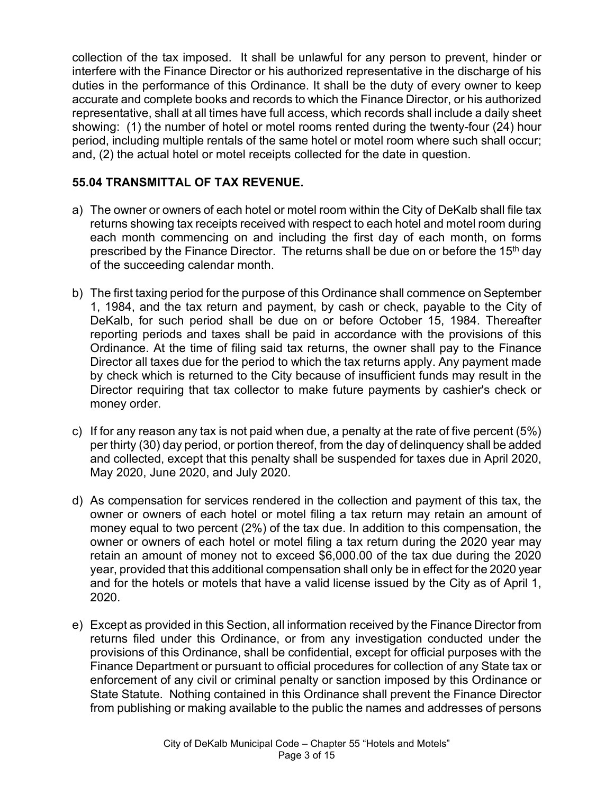collection of the tax imposed. It shall be unlawful for any person to prevent, hinder or interfere with the Finance Director or his authorized representative in the discharge of his duties in the performance of this Ordinance. It shall be the duty of every owner to keep accurate and complete books and records to which the Finance Director, or his authorized representative, shall at all times have full access, which records shall include a daily sheet showing: (1) the number of hotel or motel rooms rented during the twenty-four (24) hour period, including multiple rentals of the same hotel or motel room where such shall occur; and, (2) the actual hotel or motel receipts collected for the date in question.

# **55.04 TRANSMITTAL OF TAX REVENUE.**

- a) The owner or owners of each hotel or motel room within the City of DeKalb shall file tax returns showing tax receipts received with respect to each hotel and motel room during each month commencing on and including the first day of each month, on forms prescribed by the Finance Director. The returns shall be due on or before the 15<sup>th</sup> day of the succeeding calendar month.
- b) The first taxing period for the purpose of this Ordinance shall commence on September 1, 1984, and the tax return and payment, by cash or check, payable to the City of DeKalb, for such period shall be due on or before October 15, 1984. Thereafter reporting periods and taxes shall be paid in accordance with the provisions of this Ordinance. At the time of filing said tax returns, the owner shall pay to the Finance Director all taxes due for the period to which the tax returns apply. Any payment made by check which is returned to the City because of insufficient funds may result in the Director requiring that tax collector to make future payments by cashier's check or money order.
- c) If for any reason any tax is not paid when due, a penalty at the rate of five percent (5%) per thirty (30) day period, or portion thereof, from the day of delinquency shall be added and collected, except that this penalty shall be suspended for taxes due in April 2020, May 2020, June 2020, and July 2020.
- d) As compensation for services rendered in the collection and payment of this tax, the owner or owners of each hotel or motel filing a tax return may retain an amount of money equal to two percent (2%) of the tax due. In addition to this compensation, the owner or owners of each hotel or motel filing a tax return during the 2020 year may retain an amount of money not to exceed \$6,000.00 of the tax due during the 2020 year, provided that this additional compensation shall only be in effect for the 2020 year and for the hotels or motels that have a valid license issued by the City as of April 1, 2020.
- e) Except as provided in this Section, all information received by the Finance Director from returns filed under this Ordinance, or from any investigation conducted under the provisions of this Ordinance, shall be confidential, except for official purposes with the Finance Department or pursuant to official procedures for collection of any State tax or enforcement of any civil or criminal penalty or sanction imposed by this Ordinance or State Statute. Nothing contained in this Ordinance shall prevent the Finance Director from publishing or making available to the public the names and addresses of persons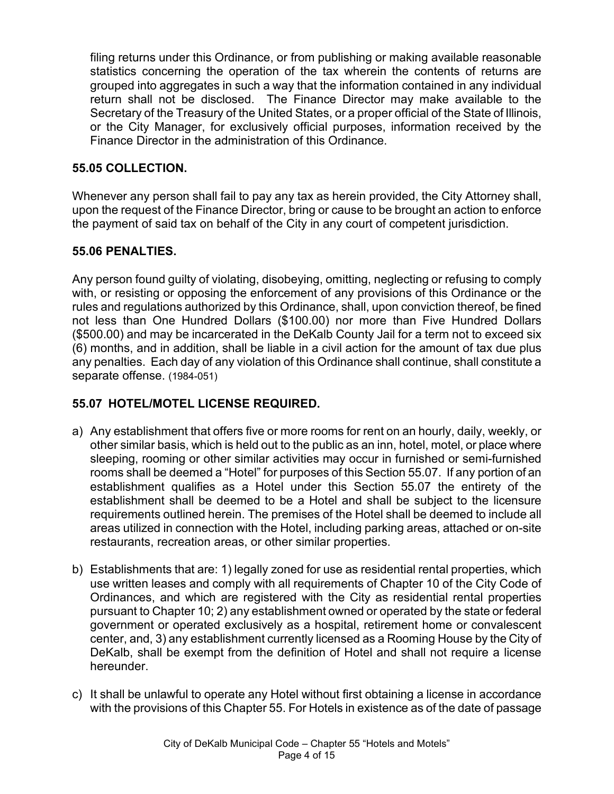filing returns under this Ordinance, or from publishing or making available reasonable statistics concerning the operation of the tax wherein the contents of returns are grouped into aggregates in such a way that the information contained in any individual return shall not be disclosed. The Finance Director may make available to the Secretary of the Treasury of the United States, or a proper official of the State of Illinois, or the City Manager, for exclusively official purposes, information received by the Finance Director in the administration of this Ordinance.

#### **55.05 COLLECTION.**

Whenever any person shall fail to pay any tax as herein provided, the City Attorney shall, upon the request of the Finance Director, bring or cause to be brought an action to enforce the payment of said tax on behalf of the City in any court of competent jurisdiction.

#### **55.06 PENALTIES.**

Any person found guilty of violating, disobeying, omitting, neglecting or refusing to comply with, or resisting or opposing the enforcement of any provisions of this Ordinance or the rules and regulations authorized by this Ordinance, shall, upon conviction thereof, be fined not less than One Hundred Dollars (\$100.00) nor more than Five Hundred Dollars (\$500.00) and may be incarcerated in the DeKalb County Jail for a term not to exceed six (6) months, and in addition, shall be liable in a civil action for the amount of tax due plus any penalties. Each day of any violation of this Ordinance shall continue, shall constitute a separate offense. (1984-051)

# **55.07 HOTEL/MOTEL LICENSE REQUIRED.**

- a) Any establishment that offers five or more rooms for rent on an hourly, daily, weekly, or other similar basis, which is held out to the public as an inn, hotel, motel, or place where sleeping, rooming or other similar activities may occur in furnished or semi-furnished rooms shall be deemed a "Hotel" for purposes of this Section 55.07. If any portion of an establishment qualifies as a Hotel under this Section 55.07 the entirety of the establishment shall be deemed to be a Hotel and shall be subject to the licensure requirements outlined herein. The premises of the Hotel shall be deemed to include all areas utilized in connection with the Hotel, including parking areas, attached or on-site restaurants, recreation areas, or other similar properties.
- b) Establishments that are: 1) legally zoned for use as residential rental properties, which use written leases and comply with all requirements of Chapter 10 of the City Code of Ordinances, and which are registered with the City as residential rental properties pursuant to Chapter 10; 2) any establishment owned or operated by the state or federal government or operated exclusively as a hospital, retirement home or convalescent center, and, 3) any establishment currently licensed as a Rooming House by the City of DeKalb, shall be exempt from the definition of Hotel and shall not require a license hereunder.
- c) It shall be unlawful to operate any Hotel without first obtaining a license in accordance with the provisions of this Chapter 55. For Hotels in existence as of the date of passage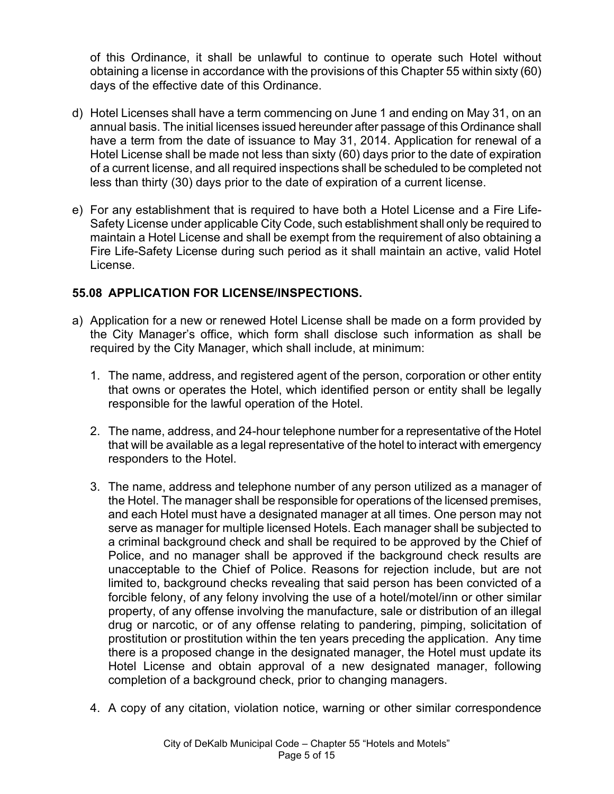of this Ordinance, it shall be unlawful to continue to operate such Hotel without obtaining a license in accordance with the provisions of this Chapter 55 within sixty (60) days of the effective date of this Ordinance.

- d) Hotel Licenses shall have a term commencing on June 1 and ending on May 31, on an annual basis. The initial licenses issued hereunder after passage of this Ordinance shall have a term from the date of issuance to May 31, 2014. Application for renewal of a Hotel License shall be made not less than sixty (60) days prior to the date of expiration of a current license, and all required inspections shall be scheduled to be completed not less than thirty (30) days prior to the date of expiration of a current license.
- e) For any establishment that is required to have both a Hotel License and a Fire Life-Safety License under applicable City Code, such establishment shall only be required to maintain a Hotel License and shall be exempt from the requirement of also obtaining a Fire Life-Safety License during such period as it shall maintain an active, valid Hotel License.

# **55.08 APPLICATION FOR LICENSE/INSPECTIONS.**

- a) Application for a new or renewed Hotel License shall be made on a form provided by the City Manager's office, which form shall disclose such information as shall be required by the City Manager, which shall include, at minimum:
	- 1. The name, address, and registered agent of the person, corporation or other entity that owns or operates the Hotel, which identified person or entity shall be legally responsible for the lawful operation of the Hotel.
	- 2. The name, address, and 24-hour telephone number for a representative of the Hotel that will be available as a legal representative of the hotel to interact with emergency responders to the Hotel.
	- 3. The name, address and telephone number of any person utilized as a manager of the Hotel. The manager shall be responsible for operations of the licensed premises, and each Hotel must have a designated manager at all times. One person may not serve as manager for multiple licensed Hotels. Each manager shall be subjected to a criminal background check and shall be required to be approved by the Chief of Police, and no manager shall be approved if the background check results are unacceptable to the Chief of Police. Reasons for rejection include, but are not limited to, background checks revealing that said person has been convicted of a forcible felony, of any felony involving the use of a hotel/motel/inn or other similar property, of any offense involving the manufacture, sale or distribution of an illegal drug or narcotic, or of any offense relating to pandering, pimping, solicitation of prostitution or prostitution within the ten years preceding the application. Any time there is a proposed change in the designated manager, the Hotel must update its Hotel License and obtain approval of a new designated manager, following completion of a background check, prior to changing managers.
	- 4. A copy of any citation, violation notice, warning or other similar correspondence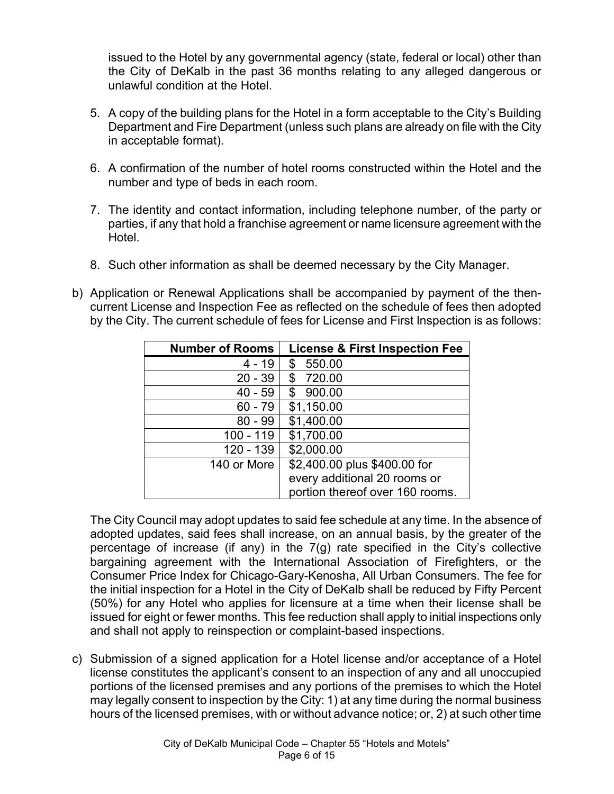issued to the Hotel by any governmental agency (state, federal or local) other than the City of DeKalb in the past 36 months relating to any alleged dangerous or unlawful condition at the Hotel.

- 5. A copy of the building plans for the Hotel in a form acceptable to the City's Building Department and Fire Department (unless such plans are already on file with the City in acceptable format).
- 6. A confirmation of the number of hotel rooms constructed within the Hotel and the number and type of beds in each room.
- 7. The identity and contact information, including telephone number, of the party or parties, if any that hold a franchise agreement or name licensure agreement with the Hotel.
- 8. Such other information as shall be deemed necessary by the City Manager.
- b) Application or Renewal Applications shall be accompanied by payment of the thencurrent License and Inspection Fee as reflected on the schedule of fees then adopted by the City. The current schedule of fees for License and First Inspection is as follows:

| <b>Number of Rooms</b> | <b>License &amp; First Inspection Fee</b> |
|------------------------|-------------------------------------------|
| $4 - 19$               | 550.00<br>\$                              |
| $20 - 39$              | \$720.00                                  |
| $40 - 59$              | 900.00<br>\$                              |
| $60 - 79$              | \$1,150.00                                |
| $80 - 99$              | \$1,400.00                                |
| $100 - 119$            | \$1,700.00                                |
| 120 - 139              | \$2,000.00                                |
| 140 or More            | \$2,400.00 plus \$400.00 for              |
|                        | every additional 20 rooms or              |
|                        | portion thereof over 160 rooms.           |

The City Council may adopt updates to said fee schedule at any time. In the absence of adopted updates, said fees shall increase, on an annual basis, by the greater of the percentage of increase (if any) in the 7(g) rate specified in the City's collective bargaining agreement with the International Association of Firefighters, or the Consumer Price Index for Chicago-Gary-Kenosha, All Urban Consumers. The fee for the initial inspection for a Hotel in the City of DeKalb shall be reduced by Fifty Percent (50%) for any Hotel who applies for licensure at a time when their license shall be issued for eight or fewer months. This fee reduction shall apply to initial inspections only and shall not apply to reinspection or complaint-based inspections.

c) Submission of a signed application for a Hotel license and/or acceptance of a Hotel license constitutes the applicant's consent to an inspection of any and all unoccupied portions of the licensed premises and any portions of the premises to which the Hotel may legally consent to inspection by the City: 1) at any time during the normal business hours of the licensed premises, with or without advance notice; or, 2) at such other time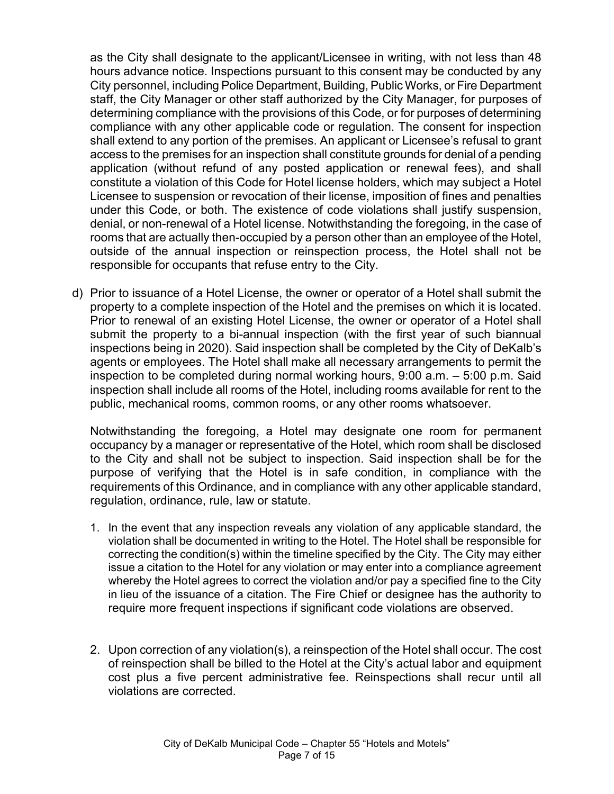as the City shall designate to the applicant/Licensee in writing, with not less than 48 hours advance notice. Inspections pursuant to this consent may be conducted by any City personnel, including Police Department, Building, Public Works, or Fire Department staff, the City Manager or other staff authorized by the City Manager, for purposes of determining compliance with the provisions of this Code, or for purposes of determining compliance with any other applicable code or regulation. The consent for inspection shall extend to any portion of the premises. An applicant or Licensee's refusal to grant access to the premises for an inspection shall constitute grounds for denial of a pending application (without refund of any posted application or renewal fees), and shall constitute a violation of this Code for Hotel license holders, which may subject a Hotel Licensee to suspension or revocation of their license, imposition of fines and penalties under this Code, or both. The existence of code violations shall justify suspension, denial, or non-renewal of a Hotel license. Notwithstanding the foregoing, in the case of rooms that are actually then-occupied by a person other than an employee of the Hotel, outside of the annual inspection or reinspection process, the Hotel shall not be responsible for occupants that refuse entry to the City.

d) Prior to issuance of a Hotel License, the owner or operator of a Hotel shall submit the property to a complete inspection of the Hotel and the premises on which it is located. Prior to renewal of an existing Hotel License, the owner or operator of a Hotel shall submit the property to a bi-annual inspection (with the first year of such biannual inspections being in 2020). Said inspection shall be completed by the City of DeKalb's agents or employees. The Hotel shall make all necessary arrangements to permit the inspection to be completed during normal working hours, 9:00 a.m. – 5:00 p.m. Said inspection shall include all rooms of the Hotel, including rooms available for rent to the public, mechanical rooms, common rooms, or any other rooms whatsoever.

Notwithstanding the foregoing, a Hotel may designate one room for permanent occupancy by a manager or representative of the Hotel, which room shall be disclosed to the City and shall not be subject to inspection. Said inspection shall be for the purpose of verifying that the Hotel is in safe condition, in compliance with the requirements of this Ordinance, and in compliance with any other applicable standard, regulation, ordinance, rule, law or statute.

- 1. In the event that any inspection reveals any violation of any applicable standard, the violation shall be documented in writing to the Hotel. The Hotel shall be responsible for correcting the condition(s) within the timeline specified by the City. The City may either issue a citation to the Hotel for any violation or may enter into a compliance agreement whereby the Hotel agrees to correct the violation and/or pay a specified fine to the City in lieu of the issuance of a citation. The Fire Chief or designee has the authority to require more frequent inspections if significant code violations are observed.
- 2. Upon correction of any violation(s), a reinspection of the Hotel shall occur. The cost of reinspection shall be billed to the Hotel at the City's actual labor and equipment cost plus a five percent administrative fee. Reinspections shall recur until all violations are corrected.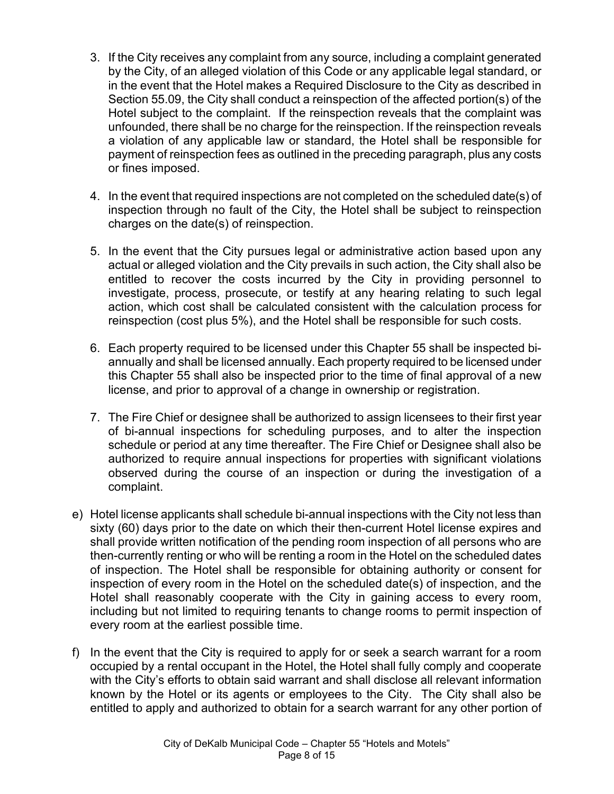- 3. If the City receives any complaint from any source, including a complaint generated by the City, of an alleged violation of this Code or any applicable legal standard, or in the event that the Hotel makes a Required Disclosure to the City as described in Section 55.09, the City shall conduct a reinspection of the affected portion(s) of the Hotel subject to the complaint. If the reinspection reveals that the complaint was unfounded, there shall be no charge for the reinspection. If the reinspection reveals a violation of any applicable law or standard, the Hotel shall be responsible for payment of reinspection fees as outlined in the preceding paragraph, plus any costs or fines imposed.
- 4. In the event that required inspections are not completed on the scheduled date(s) of inspection through no fault of the City, the Hotel shall be subject to reinspection charges on the date(s) of reinspection.
- 5. In the event that the City pursues legal or administrative action based upon any actual or alleged violation and the City prevails in such action, the City shall also be entitled to recover the costs incurred by the City in providing personnel to investigate, process, prosecute, or testify at any hearing relating to such legal action, which cost shall be calculated consistent with the calculation process for reinspection (cost plus 5%), and the Hotel shall be responsible for such costs.
- 6. Each property required to be licensed under this Chapter 55 shall be inspected biannually and shall be licensed annually. Each property required to be licensed under this Chapter 55 shall also be inspected prior to the time of final approval of a new license, and prior to approval of a change in ownership or registration.
- 7. The Fire Chief or designee shall be authorized to assign licensees to their first year of bi-annual inspections for scheduling purposes, and to alter the inspection schedule or period at any time thereafter. The Fire Chief or Designee shall also be authorized to require annual inspections for properties with significant violations observed during the course of an inspection or during the investigation of a complaint.
- e) Hotel license applicants shall schedule bi-annual inspections with the City not less than sixty (60) days prior to the date on which their then-current Hotel license expires and shall provide written notification of the pending room inspection of all persons who are then-currently renting or who will be renting a room in the Hotel on the scheduled dates of inspection. The Hotel shall be responsible for obtaining authority or consent for inspection of every room in the Hotel on the scheduled date(s) of inspection, and the Hotel shall reasonably cooperate with the City in gaining access to every room, including but not limited to requiring tenants to change rooms to permit inspection of every room at the earliest possible time.
- f) In the event that the City is required to apply for or seek a search warrant for a room occupied by a rental occupant in the Hotel, the Hotel shall fully comply and cooperate with the City's efforts to obtain said warrant and shall disclose all relevant information known by the Hotel or its agents or employees to the City. The City shall also be entitled to apply and authorized to obtain for a search warrant for any other portion of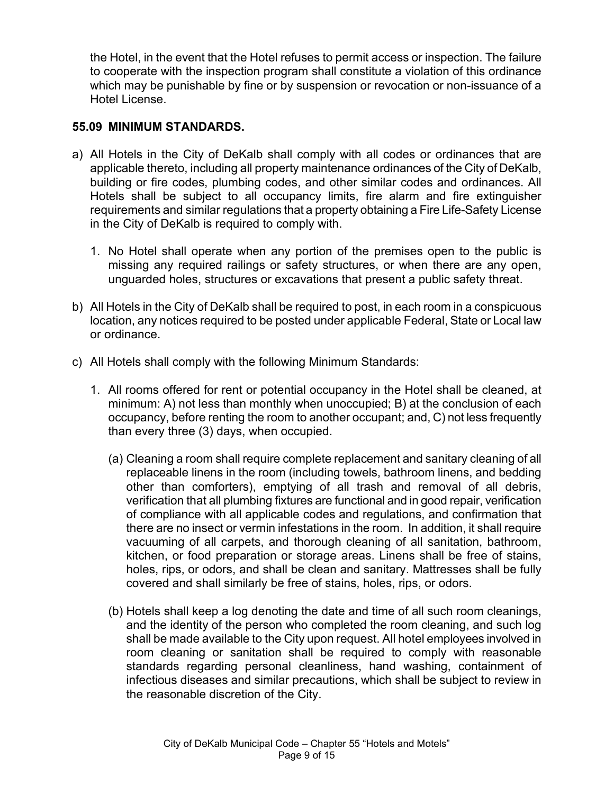the Hotel, in the event that the Hotel refuses to permit access or inspection. The failure to cooperate with the inspection program shall constitute a violation of this ordinance which may be punishable by fine or by suspension or revocation or non-issuance of a Hotel License.

#### **55.09 MINIMUM STANDARDS.**

- a) All Hotels in the City of DeKalb shall comply with all codes or ordinances that are applicable thereto, including all property maintenance ordinances of the City of DeKalb, building or fire codes, plumbing codes, and other similar codes and ordinances. All Hotels shall be subject to all occupancy limits, fire alarm and fire extinguisher requirements and similar regulations that a property obtaining a Fire Life-Safety License in the City of DeKalb is required to comply with.
	- 1. No Hotel shall operate when any portion of the premises open to the public is missing any required railings or safety structures, or when there are any open, unguarded holes, structures or excavations that present a public safety threat.
- b) All Hotels in the City of DeKalb shall be required to post, in each room in a conspicuous location, any notices required to be posted under applicable Federal, State or Local law or ordinance.
- c) All Hotels shall comply with the following Minimum Standards:
	- 1. All rooms offered for rent or potential occupancy in the Hotel shall be cleaned, at minimum: A) not less than monthly when unoccupied; B) at the conclusion of each occupancy, before renting the room to another occupant; and, C) not less frequently than every three (3) days, when occupied.
		- (a) Cleaning a room shall require complete replacement and sanitary cleaning of all replaceable linens in the room (including towels, bathroom linens, and bedding other than comforters), emptying of all trash and removal of all debris, verification that all plumbing fixtures are functional and in good repair, verification of compliance with all applicable codes and regulations, and confirmation that there are no insect or vermin infestations in the room. In addition, it shall require vacuuming of all carpets, and thorough cleaning of all sanitation, bathroom, kitchen, or food preparation or storage areas. Linens shall be free of stains, holes, rips, or odors, and shall be clean and sanitary. Mattresses shall be fully covered and shall similarly be free of stains, holes, rips, or odors.
		- (b) Hotels shall keep a log denoting the date and time of all such room cleanings, and the identity of the person who completed the room cleaning, and such log shall be made available to the City upon request. All hotel employees involved in room cleaning or sanitation shall be required to comply with reasonable standards regarding personal cleanliness, hand washing, containment of infectious diseases and similar precautions, which shall be subject to review in the reasonable discretion of the City.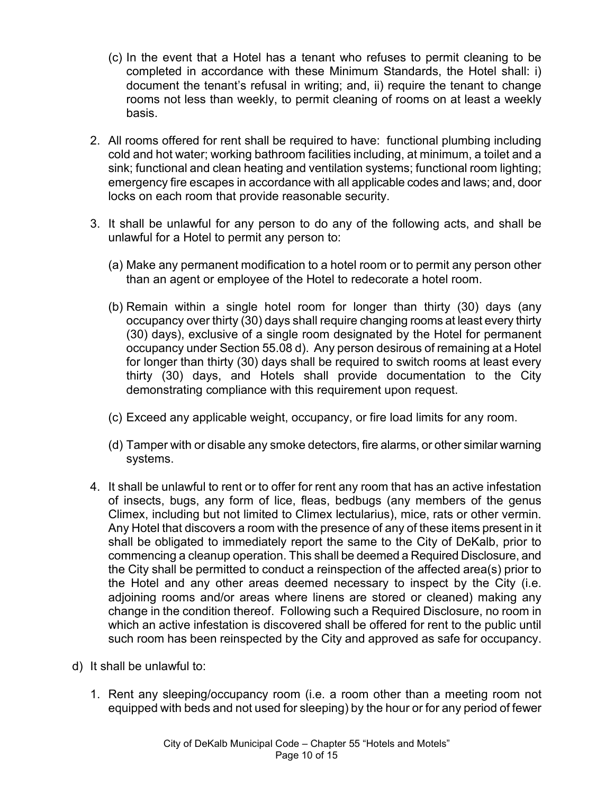- (c) In the event that a Hotel has a tenant who refuses to permit cleaning to be completed in accordance with these Minimum Standards, the Hotel shall: i) document the tenant's refusal in writing; and, ii) require the tenant to change rooms not less than weekly, to permit cleaning of rooms on at least a weekly basis.
- 2. All rooms offered for rent shall be required to have: functional plumbing including cold and hot water; working bathroom facilities including, at minimum, a toilet and a sink; functional and clean heating and ventilation systems; functional room lighting; emergency fire escapes in accordance with all applicable codes and laws; and, door locks on each room that provide reasonable security.
- 3. It shall be unlawful for any person to do any of the following acts, and shall be unlawful for a Hotel to permit any person to:
	- (a) Make any permanent modification to a hotel room or to permit any person other than an agent or employee of the Hotel to redecorate a hotel room.
	- (b) Remain within a single hotel room for longer than thirty (30) days (any occupancy over thirty (30) days shall require changing rooms at least every thirty (30) days), exclusive of a single room designated by the Hotel for permanent occupancy under Section 55.08 d). Any person desirous of remaining at a Hotel for longer than thirty (30) days shall be required to switch rooms at least every thirty (30) days, and Hotels shall provide documentation to the City demonstrating compliance with this requirement upon request.
	- (c) Exceed any applicable weight, occupancy, or fire load limits for any room.
	- (d) Tamper with or disable any smoke detectors, fire alarms, or other similar warning systems.
- 4. It shall be unlawful to rent or to offer for rent any room that has an active infestation of insects, bugs, any form of lice, fleas, bedbugs (any members of the genus Climex, including but not limited to Climex lectularius), mice, rats or other vermin. Any Hotel that discovers a room with the presence of any of these items present in it shall be obligated to immediately report the same to the City of DeKalb, prior to commencing a cleanup operation. This shall be deemed a Required Disclosure, and the City shall be permitted to conduct a reinspection of the affected area(s) prior to the Hotel and any other areas deemed necessary to inspect by the City (i.e. adjoining rooms and/or areas where linens are stored or cleaned) making any change in the condition thereof. Following such a Required Disclosure, no room in which an active infestation is discovered shall be offered for rent to the public until such room has been reinspected by the City and approved as safe for occupancy.
- d) It shall be unlawful to:
	- 1. Rent any sleeping/occupancy room (i.e. a room other than a meeting room not equipped with beds and not used for sleeping) by the hour or for any period of fewer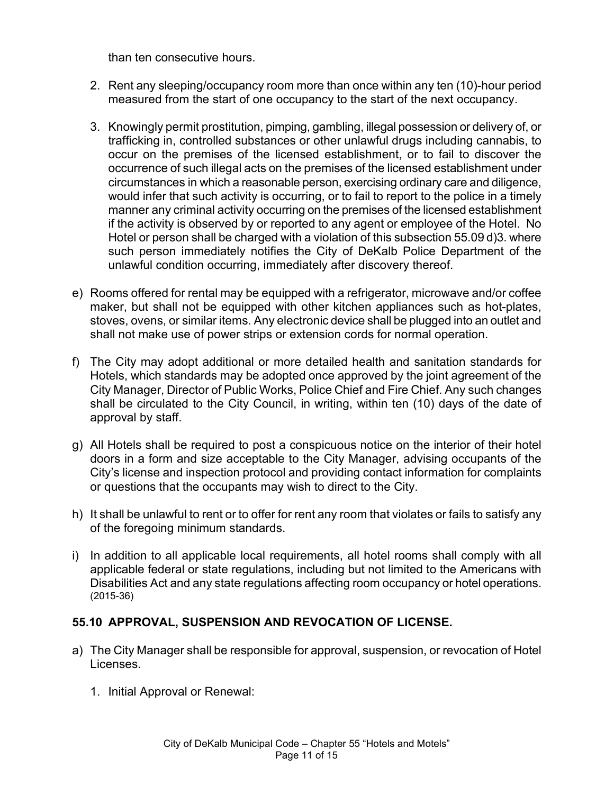than ten consecutive hours.

- 2. Rent any sleeping/occupancy room more than once within any ten (10)-hour period measured from the start of one occupancy to the start of the next occupancy.
- 3. Knowingly permit prostitution, pimping, gambling, illegal possession or delivery of, or trafficking in, controlled substances or other unlawful drugs including cannabis, to occur on the premises of the licensed establishment, or to fail to discover the occurrence of such illegal acts on the premises of the licensed establishment under circumstances in which a reasonable person, exercising ordinary care and diligence, would infer that such activity is occurring, or to fail to report to the police in a timely manner any criminal activity occurring on the premises of the licensed establishment if the activity is observed by or reported to any agent or employee of the Hotel. No Hotel or person shall be charged with a violation of this subsection 55.09 d)3. where such person immediately notifies the City of DeKalb Police Department of the unlawful condition occurring, immediately after discovery thereof.
- e) Rooms offered for rental may be equipped with a refrigerator, microwave and/or coffee maker, but shall not be equipped with other kitchen appliances such as hot-plates, stoves, ovens, or similar items. Any electronic device shall be plugged into an outlet and shall not make use of power strips or extension cords for normal operation.
- f) The City may adopt additional or more detailed health and sanitation standards for Hotels, which standards may be adopted once approved by the joint agreement of the City Manager, Director of Public Works, Police Chief and Fire Chief. Any such changes shall be circulated to the City Council, in writing, within ten (10) days of the date of approval by staff.
- g) All Hotels shall be required to post a conspicuous notice on the interior of their hotel doors in a form and size acceptable to the City Manager, advising occupants of the City's license and inspection protocol and providing contact information for complaints or questions that the occupants may wish to direct to the City.
- h) It shall be unlawful to rent or to offer for rent any room that violates or fails to satisfy any of the foregoing minimum standards.
- i) In addition to all applicable local requirements, all hotel rooms shall comply with all applicable federal or state regulations, including but not limited to the Americans with Disabilities Act and any state regulations affecting room occupancy or hotel operations. (2015-36)

# **55.10 APPROVAL, SUSPENSION AND REVOCATION OF LICENSE.**

- a) The City Manager shall be responsible for approval, suspension, or revocation of Hotel Licenses.
	- 1. Initial Approval or Renewal: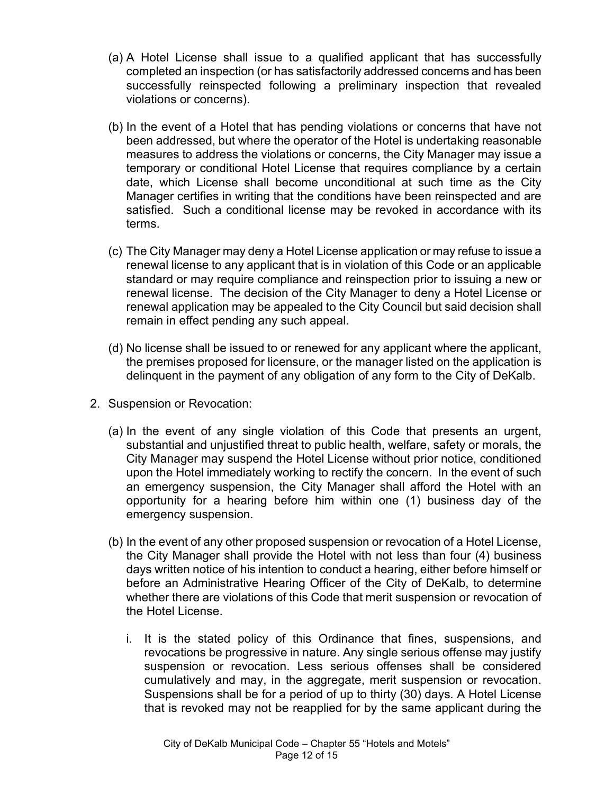- (a) A Hotel License shall issue to a qualified applicant that has successfully completed an inspection (or has satisfactorily addressed concerns and has been successfully reinspected following a preliminary inspection that revealed violations or concerns).
- (b) In the event of a Hotel that has pending violations or concerns that have not been addressed, but where the operator of the Hotel is undertaking reasonable measures to address the violations or concerns, the City Manager may issue a temporary or conditional Hotel License that requires compliance by a certain date, which License shall become unconditional at such time as the City Manager certifies in writing that the conditions have been reinspected and are satisfied. Such a conditional license may be revoked in accordance with its terms.
- (c) The City Manager may deny a Hotel License application or may refuse to issue a renewal license to any applicant that is in violation of this Code or an applicable standard or may require compliance and reinspection prior to issuing a new or renewal license. The decision of the City Manager to deny a Hotel License or renewal application may be appealed to the City Council but said decision shall remain in effect pending any such appeal.
- (d) No license shall be issued to or renewed for any applicant where the applicant, the premises proposed for licensure, or the manager listed on the application is delinquent in the payment of any obligation of any form to the City of DeKalb.
- 2. Suspension or Revocation:
	- (a) In the event of any single violation of this Code that presents an urgent, substantial and unjustified threat to public health, welfare, safety or morals, the City Manager may suspend the Hotel License without prior notice, conditioned upon the Hotel immediately working to rectify the concern. In the event of such an emergency suspension, the City Manager shall afford the Hotel with an opportunity for a hearing before him within one (1) business day of the emergency suspension.
	- (b) In the event of any other proposed suspension or revocation of a Hotel License, the City Manager shall provide the Hotel with not less than four (4) business days written notice of his intention to conduct a hearing, either before himself or before an Administrative Hearing Officer of the City of DeKalb, to determine whether there are violations of this Code that merit suspension or revocation of the Hotel License.
		- i. It is the stated policy of this Ordinance that fines, suspensions, and revocations be progressive in nature. Any single serious offense may justify suspension or revocation. Less serious offenses shall be considered cumulatively and may, in the aggregate, merit suspension or revocation. Suspensions shall be for a period of up to thirty (30) days. A Hotel License that is revoked may not be reapplied for by the same applicant during the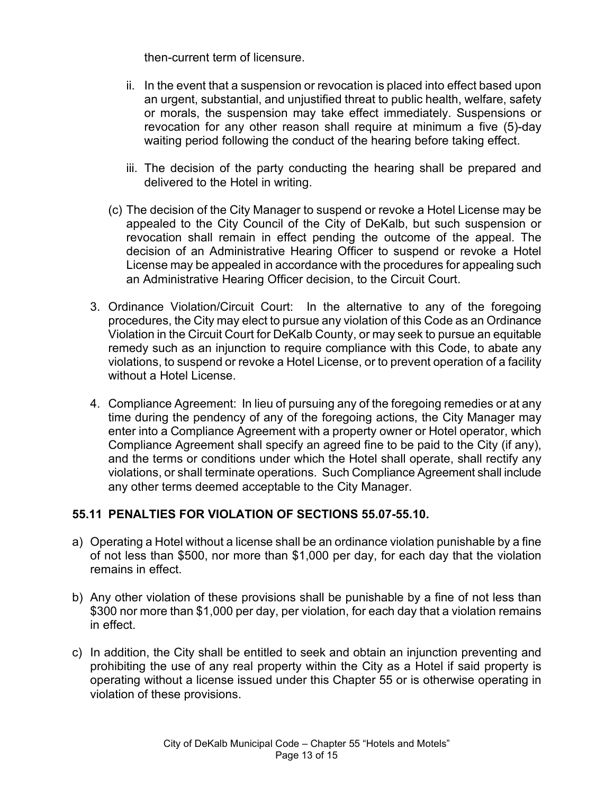then-current term of licensure.

- ii. In the event that a suspension or revocation is placed into effect based upon an urgent, substantial, and unjustified threat to public health, welfare, safety or morals, the suspension may take effect immediately. Suspensions or revocation for any other reason shall require at minimum a five (5)-day waiting period following the conduct of the hearing before taking effect.
- iii. The decision of the party conducting the hearing shall be prepared and delivered to the Hotel in writing.
- (c) The decision of the City Manager to suspend or revoke a Hotel License may be appealed to the City Council of the City of DeKalb, but such suspension or revocation shall remain in effect pending the outcome of the appeal. The decision of an Administrative Hearing Officer to suspend or revoke a Hotel License may be appealed in accordance with the procedures for appealing such an Administrative Hearing Officer decision, to the Circuit Court.
- 3. Ordinance Violation/Circuit Court: In the alternative to any of the foregoing procedures, the City may elect to pursue any violation of this Code as an Ordinance Violation in the Circuit Court for DeKalb County, or may seek to pursue an equitable remedy such as an injunction to require compliance with this Code, to abate any violations, to suspend or revoke a Hotel License, or to prevent operation of a facility without a Hotel License.
- 4. Compliance Agreement: In lieu of pursuing any of the foregoing remedies or at any time during the pendency of any of the foregoing actions, the City Manager may enter into a Compliance Agreement with a property owner or Hotel operator, which Compliance Agreement shall specify an agreed fine to be paid to the City (if any), and the terms or conditions under which the Hotel shall operate, shall rectify any violations, or shall terminate operations. Such Compliance Agreement shall include any other terms deemed acceptable to the City Manager.

# **55.11 PENALTIES FOR VIOLATION OF SECTIONS 55.07-55.10.**

- a) Operating a Hotel without a license shall be an ordinance violation punishable by a fine of not less than \$500, nor more than \$1,000 per day, for each day that the violation remains in effect.
- b) Any other violation of these provisions shall be punishable by a fine of not less than \$300 nor more than \$1,000 per day, per violation, for each day that a violation remains in effect.
- c) In addition, the City shall be entitled to seek and obtain an injunction preventing and prohibiting the use of any real property within the City as a Hotel if said property is operating without a license issued under this Chapter 55 or is otherwise operating in violation of these provisions.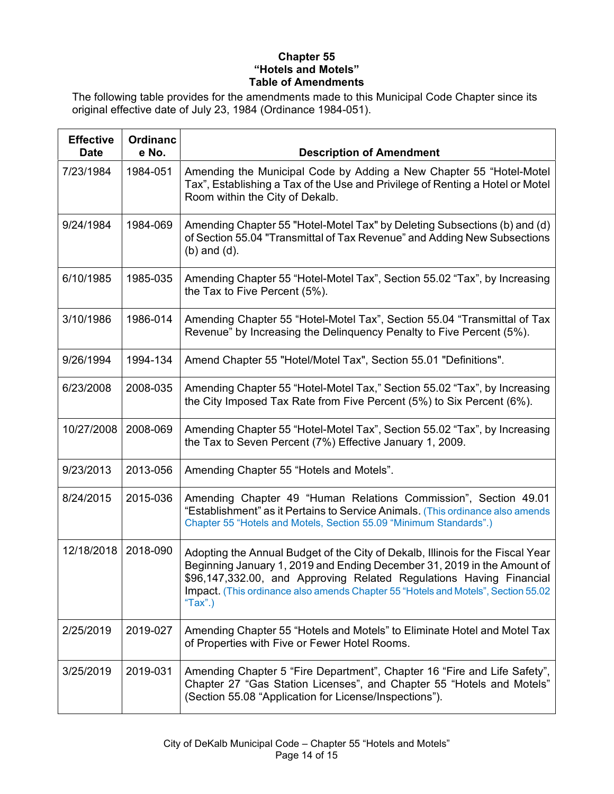#### **Chapter 55 "Hotels and Motels" Table of Amendments**

The following table provides for the amendments made to this Municipal Code Chapter since its original effective date of July 23, 1984 (Ordinance 1984-051).

| <b>Effective</b><br><b>Date</b> | <b>Ordinanc</b><br>e No. | <b>Description of Amendment</b>                                                                                                                                                                                                                                                                                                  |
|---------------------------------|--------------------------|----------------------------------------------------------------------------------------------------------------------------------------------------------------------------------------------------------------------------------------------------------------------------------------------------------------------------------|
| 7/23/1984                       | 1984-051                 | Amending the Municipal Code by Adding a New Chapter 55 "Hotel-Motel<br>Tax", Establishing a Tax of the Use and Privilege of Renting a Hotel or Motel<br>Room within the City of Dekalb.                                                                                                                                          |
| 9/24/1984                       | 1984-069                 | Amending Chapter 55 "Hotel-Motel Tax" by Deleting Subsections (b) and (d)<br>of Section 55.04 "Transmittal of Tax Revenue" and Adding New Subsections<br>$(b)$ and $(d)$ .                                                                                                                                                       |
| 6/10/1985                       | 1985-035                 | Amending Chapter 55 "Hotel-Motel Tax", Section 55.02 "Tax", by Increasing<br>the Tax to Five Percent (5%).                                                                                                                                                                                                                       |
| 3/10/1986                       | 1986-014                 | Amending Chapter 55 "Hotel-Motel Tax", Section 55.04 "Transmittal of Tax<br>Revenue" by Increasing the Delinquency Penalty to Five Percent (5%).                                                                                                                                                                                 |
| 9/26/1994                       | 1994-134                 | Amend Chapter 55 "Hotel/Motel Tax", Section 55.01 "Definitions".                                                                                                                                                                                                                                                                 |
| 6/23/2008                       | 2008-035                 | Amending Chapter 55 "Hotel-Motel Tax," Section 55.02 "Tax", by Increasing<br>the City Imposed Tax Rate from Five Percent (5%) to Six Percent (6%).                                                                                                                                                                               |
| 10/27/2008                      | 2008-069                 | Amending Chapter 55 "Hotel-Motel Tax", Section 55.02 "Tax", by Increasing<br>the Tax to Seven Percent (7%) Effective January 1, 2009.                                                                                                                                                                                            |
| 9/23/2013                       | 2013-056                 | Amending Chapter 55 "Hotels and Motels".                                                                                                                                                                                                                                                                                         |
| 8/24/2015                       | 2015-036                 | Amending Chapter 49 "Human Relations Commission", Section 49.01<br>"Establishment" as it Pertains to Service Animals. (This ordinance also amends<br>Chapter 55 "Hotels and Motels, Section 55.09 "Minimum Standards".)                                                                                                          |
| 12/18/2018                      | 2018-090                 | Adopting the Annual Budget of the City of Dekalb, Illinois for the Fiscal Year<br>Beginning January 1, 2019 and Ending December 31, 2019 in the Amount of<br>\$96,147,332.00, and Approving Related Regulations Having Financial<br>Impact. (This ordinance also amends Chapter 55 "Hotels and Motels", Section 55.02<br>"Tax".) |
| 2/25/2019                       | 2019-027                 | Amending Chapter 55 "Hotels and Motels" to Eliminate Hotel and Motel Tax<br>of Properties with Five or Fewer Hotel Rooms.                                                                                                                                                                                                        |
| 3/25/2019                       | 2019-031                 | Amending Chapter 5 "Fire Department", Chapter 16 "Fire and Life Safety",<br>Chapter 27 "Gas Station Licenses", and Chapter 55 "Hotels and Motels"<br>(Section 55.08 "Application for License/Inspections").                                                                                                                      |